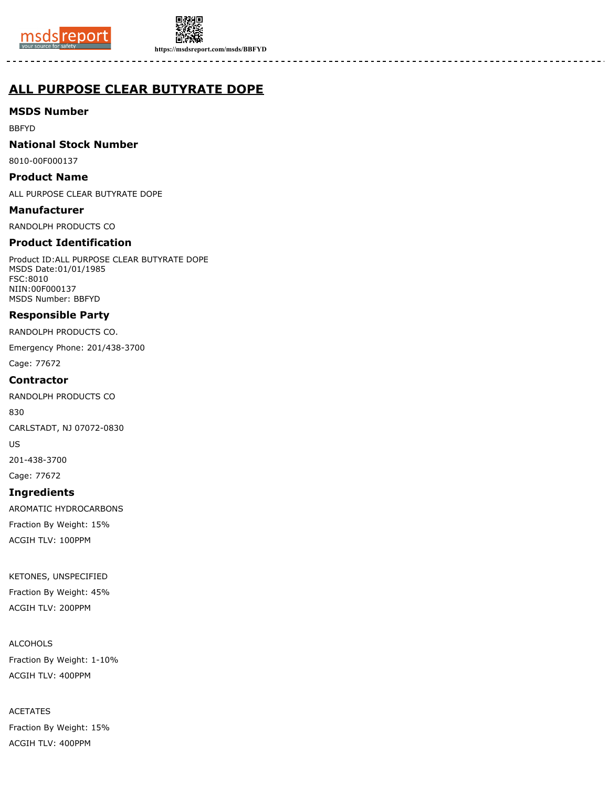



**https://msdsreport.com/msds/BBFYD**

# **ALL PURPOSE CLEAR BUTYRATE DOPE**

**MSDS Number**

BBFYD

**National Stock Number**

8010-00F000137

**Product Name**

ALL PURPOSE CLEAR BUTYRATE DOPE

**Manufacturer**

RANDOLPH PRODUCTS CO

# **Product Identification**

Product ID:ALL PURPOSE CLEAR BUTYRATE DOPE MSDS Date:01/01/1985 FSC:8010 NIIN:00F000137 MSDS Number: BBFYD

# **Responsible Party**

RANDOLPH PRODUCTS CO.

Emergency Phone: 201/438-3700

Cage: 77672

# **Contractor**

RANDOLPH PRODUCTS CO

830

CARLSTADT, NJ 07072-0830

US

201-438-3700

Cage: 77672

# **Ingredients**

AROMATIC HYDROCARBONS Fraction By Weight: 15% ACGIH TLV: 100PPM

KETONES, UNSPECIFIED

Fraction By Weight: 45% ACGIH TLV: 200PPM

ALCOHOLS

Fraction By Weight: 1-10% ACGIH TLV: 400PPM

ACETATES Fraction By Weight: 15% ACGIH TLV: 400PPM